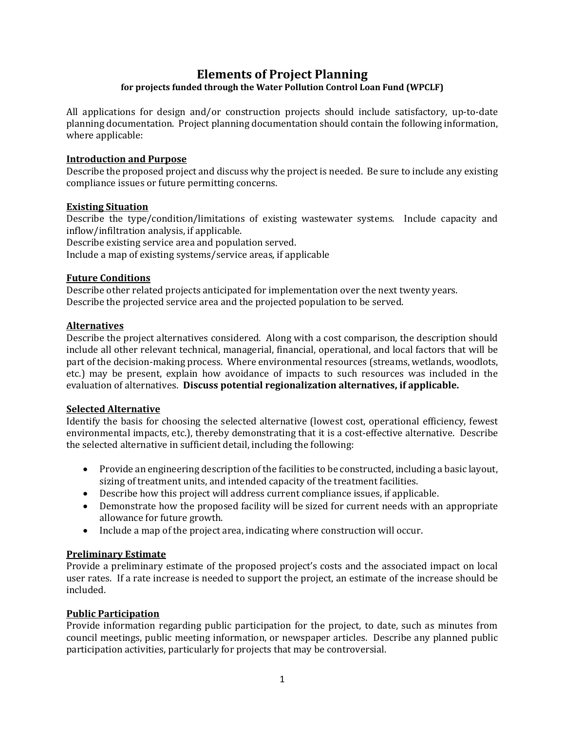# **Elements of Project Planning**

## **for projects funded through the Water Pollution Control Loan Fund (WPCLF)**

All applications for design and/or construction projects should include satisfactory, up-to-date planning documentation. Project planning documentation should contain the following information, where applicable:

#### **Introduction and Purpose**

Describe the proposed project and discuss why the project is needed. Be sure to include any existing compliance issues or future permitting concerns.

#### **Existing Situation**

Describe the type/condition/limitations of existing wastewater systems. Include capacity and inflow/infiltration analysis, if applicable.

Describe existing service area and population served.

Include a map of existing systems/service areas, if applicable

#### **Future Conditions**

Describe other related projects anticipated for implementation over the next twenty years. Describe the projected service area and the projected population to be served.

## **Alternatives**

Describe the project alternatives considered. Along with a cost comparison, the description should include all other relevant technical, managerial, financial, operational, and local factors that will be part of the decision-making process. Where environmental resources (streams, wetlands, woodlots, etc.) may be present, explain how avoidance of impacts to such resources was included in the evaluation of alternatives. **Discuss potential regionalization alternatives, if applicable.**

## **Selected Alternative**

Identify the basis for choosing the selected alternative (lowest cost, operational efficiency, fewest environmental impacts, etc.), thereby demonstrating that it is a cost-effective alternative. Describe the selected alternative in sufficient detail, including the following:

- Provide an engineering description of the facilities to be constructed, including a basic layout, sizing of treatment units, and intended capacity of the treatment facilities.
- Describe how this project will address current compliance issues, if applicable.
- Demonstrate how the proposed facility will be sized for current needs with an appropriate allowance for future growth.
- Include a map of the project area, indicating where construction will occur.

## **Preliminary Estimate**

Provide a preliminary estimate of the proposed project's costs and the associated impact on local user rates. If a rate increase is needed to support the project, an estimate of the increase should be included.

## **Public Participation**

Provide information regarding public participation for the project, to date, such as minutes from council meetings, public meeting information, or newspaper articles. Describe any planned public participation activities, particularly for projects that may be controversial.